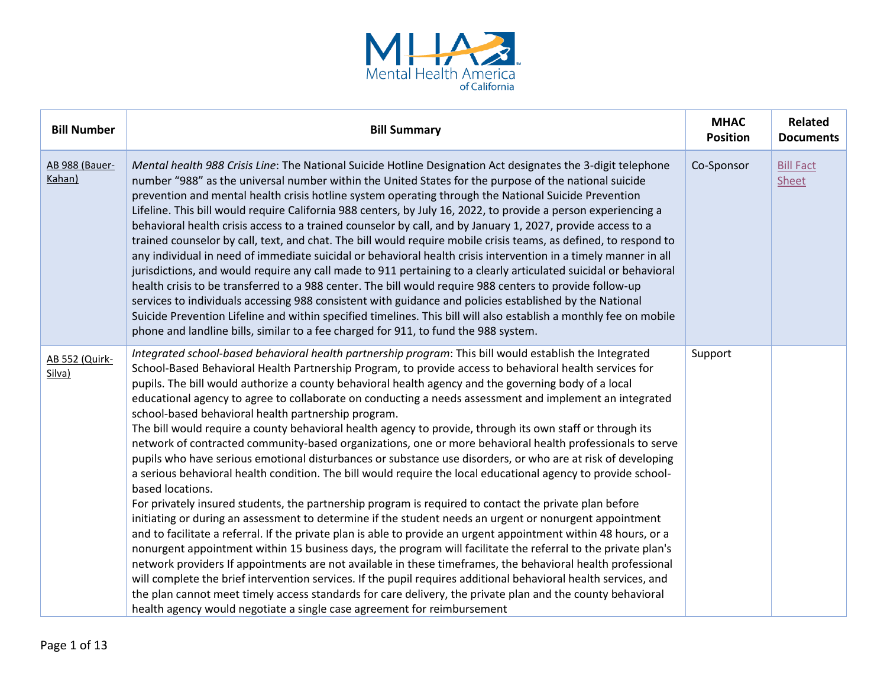

| <b>Bill Number</b>       | <b>Bill Summary</b>                                                                                                                                                                                                                                                                                                                                                                                                                                                                                                                                                                                                                                                                                                                                                                                                                                                                                                                                                                                                                                                                                                                                                                                                                                                                                                                                                                                                                                                                                                                                                                                                                                                                                                                                                                                                                                             | <b>MHAC</b><br><b>Position</b> | <b>Related</b><br><b>Documents</b> |
|--------------------------|-----------------------------------------------------------------------------------------------------------------------------------------------------------------------------------------------------------------------------------------------------------------------------------------------------------------------------------------------------------------------------------------------------------------------------------------------------------------------------------------------------------------------------------------------------------------------------------------------------------------------------------------------------------------------------------------------------------------------------------------------------------------------------------------------------------------------------------------------------------------------------------------------------------------------------------------------------------------------------------------------------------------------------------------------------------------------------------------------------------------------------------------------------------------------------------------------------------------------------------------------------------------------------------------------------------------------------------------------------------------------------------------------------------------------------------------------------------------------------------------------------------------------------------------------------------------------------------------------------------------------------------------------------------------------------------------------------------------------------------------------------------------------------------------------------------------------------------------------------------------|--------------------------------|------------------------------------|
| AB 988 (Bauer-<br>Kahan) | Mental health 988 Crisis Line: The National Suicide Hotline Designation Act designates the 3-digit telephone<br>number "988" as the universal number within the United States for the purpose of the national suicide<br>prevention and mental health crisis hotline system operating through the National Suicide Prevention<br>Lifeline. This bill would require California 988 centers, by July 16, 2022, to provide a person experiencing a<br>behavioral health crisis access to a trained counselor by call, and by January 1, 2027, provide access to a<br>trained counselor by call, text, and chat. The bill would require mobile crisis teams, as defined, to respond to<br>any individual in need of immediate suicidal or behavioral health crisis intervention in a timely manner in all<br>jurisdictions, and would require any call made to 911 pertaining to a clearly articulated suicidal or behavioral<br>health crisis to be transferred to a 988 center. The bill would require 988 centers to provide follow-up<br>services to individuals accessing 988 consistent with guidance and policies established by the National<br>Suicide Prevention Lifeline and within specified timelines. This bill will also establish a monthly fee on mobile<br>phone and landline bills, similar to a fee charged for 911, to fund the 988 system.                                                                                                                                                                                                                                                                                                                                                                                                                                                                                                    | Co-Sponsor                     | <b>Bill Fact</b><br>Sheet          |
| AB 552 (Quirk-<br>Silva) | Integrated school-based behavioral health partnership program: This bill would establish the Integrated<br>School-Based Behavioral Health Partnership Program, to provide access to behavioral health services for<br>pupils. The bill would authorize a county behavioral health agency and the governing body of a local<br>educational agency to agree to collaborate on conducting a needs assessment and implement an integrated<br>school-based behavioral health partnership program.<br>The bill would require a county behavioral health agency to provide, through its own staff or through its<br>network of contracted community-based organizations, one or more behavioral health professionals to serve<br>pupils who have serious emotional disturbances or substance use disorders, or who are at risk of developing<br>a serious behavioral health condition. The bill would require the local educational agency to provide school-<br>based locations.<br>For privately insured students, the partnership program is required to contact the private plan before<br>initiating or during an assessment to determine if the student needs an urgent or nonurgent appointment<br>and to facilitate a referral. If the private plan is able to provide an urgent appointment within 48 hours, or a<br>nonurgent appointment within 15 business days, the program will facilitate the referral to the private plan's<br>network providers If appointments are not available in these timeframes, the behavioral health professional<br>will complete the brief intervention services. If the pupil requires additional behavioral health services, and<br>the plan cannot meet timely access standards for care delivery, the private plan and the county behavioral<br>health agency would negotiate a single case agreement for reimbursement | Support                        |                                    |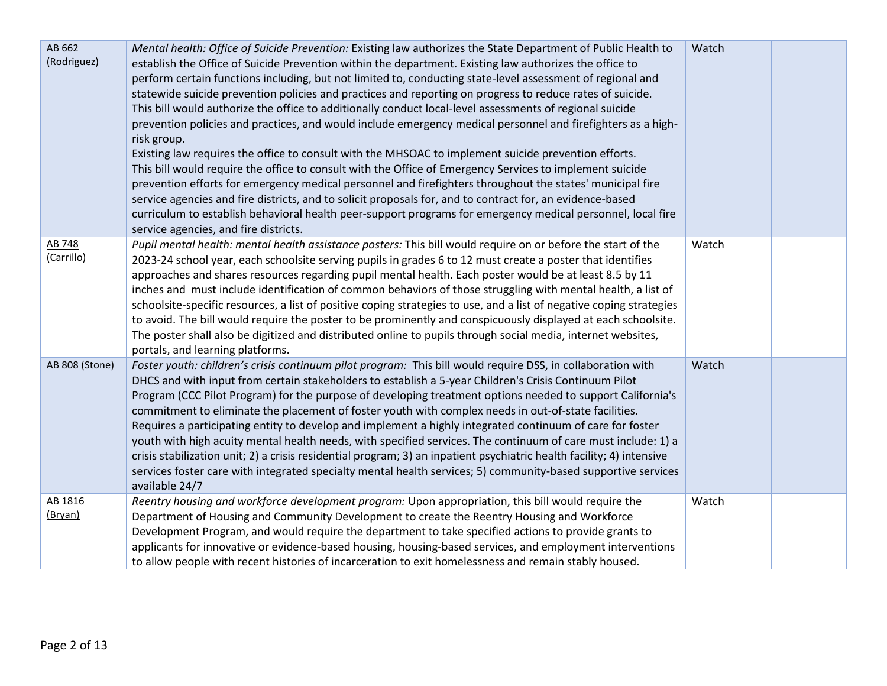| AB 662<br>(Rodriguez) | Mental health: Office of Suicide Prevention: Existing law authorizes the State Department of Public Health to<br>establish the Office of Suicide Prevention within the department. Existing law authorizes the office to<br>perform certain functions including, but not limited to, conducting state-level assessment of regional and<br>statewide suicide prevention policies and practices and reporting on progress to reduce rates of suicide.<br>This bill would authorize the office to additionally conduct local-level assessments of regional suicide<br>prevention policies and practices, and would include emergency medical personnel and firefighters as a high-<br>risk group.<br>Existing law requires the office to consult with the MHSOAC to implement suicide prevention efforts.<br>This bill would require the office to consult with the Office of Emergency Services to implement suicide<br>prevention efforts for emergency medical personnel and firefighters throughout the states' municipal fire<br>service agencies and fire districts, and to solicit proposals for, and to contract for, an evidence-based<br>curriculum to establish behavioral health peer-support programs for emergency medical personnel, local fire<br>service agencies, and fire districts. | Watch |  |
|-----------------------|------------------------------------------------------------------------------------------------------------------------------------------------------------------------------------------------------------------------------------------------------------------------------------------------------------------------------------------------------------------------------------------------------------------------------------------------------------------------------------------------------------------------------------------------------------------------------------------------------------------------------------------------------------------------------------------------------------------------------------------------------------------------------------------------------------------------------------------------------------------------------------------------------------------------------------------------------------------------------------------------------------------------------------------------------------------------------------------------------------------------------------------------------------------------------------------------------------------------------------------------------------------------------------------------------|-------|--|
| AB 748<br>(Carrillo)  | Pupil mental health: mental health assistance posters: This bill would require on or before the start of the<br>2023-24 school year, each schoolsite serving pupils in grades 6 to 12 must create a poster that identifies<br>approaches and shares resources regarding pupil mental health. Each poster would be at least 8.5 by 11<br>inches and must include identification of common behaviors of those struggling with mental health, a list of<br>schoolsite-specific resources, a list of positive coping strategies to use, and a list of negative coping strategies<br>to avoid. The bill would require the poster to be prominently and conspicuously displayed at each schoolsite.<br>The poster shall also be digitized and distributed online to pupils through social media, internet websites,<br>portals, and learning platforms.                                                                                                                                                                                                                                                                                                                                                                                                                                                    | Watch |  |
| <b>AB 808 (Stone)</b> | Foster youth: children's crisis continuum pilot program: This bill would require DSS, in collaboration with<br>DHCS and with input from certain stakeholders to establish a 5-year Children's Crisis Continuum Pilot<br>Program (CCC Pilot Program) for the purpose of developing treatment options needed to support California's<br>commitment to eliminate the placement of foster youth with complex needs in out-of-state facilities.<br>Requires a participating entity to develop and implement a highly integrated continuum of care for foster<br>youth with high acuity mental health needs, with specified services. The continuum of care must include: 1) a<br>crisis stabilization unit; 2) a crisis residential program; 3) an inpatient psychiatric health facility; 4) intensive<br>services foster care with integrated specialty mental health services; 5) community-based supportive services<br>available 24/7                                                                                                                                                                                                                                                                                                                                                                 | Watch |  |
| AB 1816<br>(Bryan)    | Reentry housing and workforce development program: Upon appropriation, this bill would require the<br>Department of Housing and Community Development to create the Reentry Housing and Workforce<br>Development Program, and would require the department to take specified actions to provide grants to<br>applicants for innovative or evidence-based housing, housing-based services, and employment interventions<br>to allow people with recent histories of incarceration to exit homelessness and remain stably housed.                                                                                                                                                                                                                                                                                                                                                                                                                                                                                                                                                                                                                                                                                                                                                                      | Watch |  |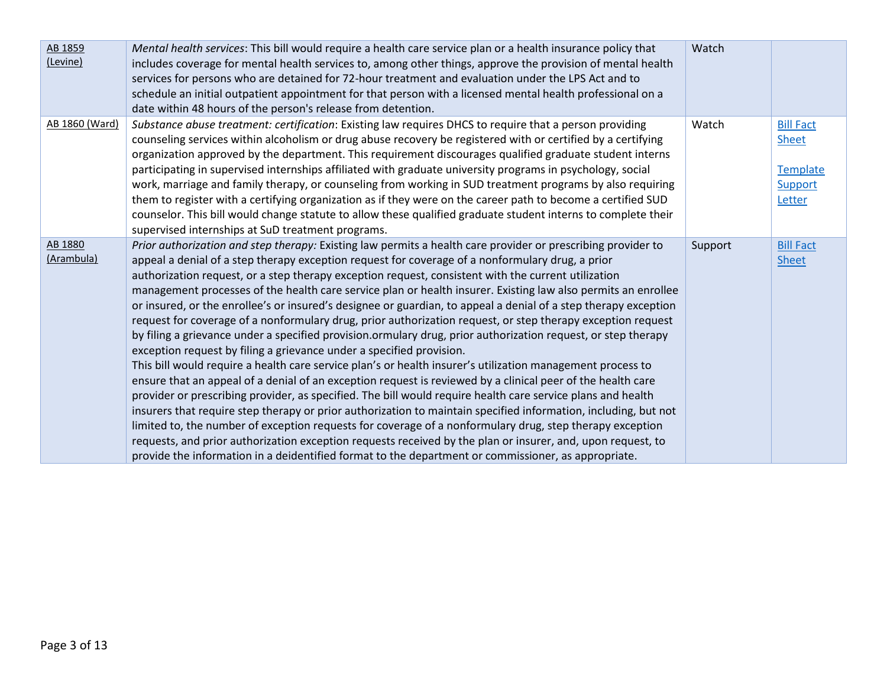| AB 1859<br>(Levine)   | Mental health services: This bill would require a health care service plan or a health insurance policy that<br>includes coverage for mental health services to, among other things, approve the provision of mental health<br>services for persons who are detained for 72-hour treatment and evaluation under the LPS Act and to<br>schedule an initial outpatient appointment for that person with a licensed mental health professional on a<br>date within 48 hours of the person's release from detention.                                                                                                                                                                                                                                                                                                                                                                                                                                                                                                                                                                                                                                                                                                                                                                                                                                                                                                                                                                                                                                                                                                                                                     | Watch   |                                                                   |
|-----------------------|----------------------------------------------------------------------------------------------------------------------------------------------------------------------------------------------------------------------------------------------------------------------------------------------------------------------------------------------------------------------------------------------------------------------------------------------------------------------------------------------------------------------------------------------------------------------------------------------------------------------------------------------------------------------------------------------------------------------------------------------------------------------------------------------------------------------------------------------------------------------------------------------------------------------------------------------------------------------------------------------------------------------------------------------------------------------------------------------------------------------------------------------------------------------------------------------------------------------------------------------------------------------------------------------------------------------------------------------------------------------------------------------------------------------------------------------------------------------------------------------------------------------------------------------------------------------------------------------------------------------------------------------------------------------|---------|-------------------------------------------------------------------|
| AB 1860 (Ward)        | Substance abuse treatment: certification: Existing law requires DHCS to require that a person providing<br>counseling services within alcoholism or drug abuse recovery be registered with or certified by a certifying<br>organization approved by the department. This requirement discourages qualified graduate student interns<br>participating in supervised internships affiliated with graduate university programs in psychology, social<br>work, marriage and family therapy, or counseling from working in SUD treatment programs by also requiring<br>them to register with a certifying organization as if they were on the career path to become a certified SUD<br>counselor. This bill would change statute to allow these qualified graduate student interns to complete their<br>supervised internships at SuD treatment programs.                                                                                                                                                                                                                                                                                                                                                                                                                                                                                                                                                                                                                                                                                                                                                                                                                 | Watch   | <b>Bill Fact</b><br><b>Sheet</b><br>Template<br>Support<br>Letter |
| AB 1880<br>(Arambula) | Prior authorization and step therapy: Existing law permits a health care provider or prescribing provider to<br>appeal a denial of a step therapy exception request for coverage of a nonformulary drug, a prior<br>authorization request, or a step therapy exception request, consistent with the current utilization<br>management processes of the health care service plan or health insurer. Existing law also permits an enrollee<br>or insured, or the enrollee's or insured's designee or guardian, to appeal a denial of a step therapy exception<br>request for coverage of a nonformulary drug, prior authorization request, or step therapy exception request<br>by filing a grievance under a specified provision.ormulary drug, prior authorization request, or step therapy<br>exception request by filing a grievance under a specified provision.<br>This bill would require a health care service plan's or health insurer's utilization management process to<br>ensure that an appeal of a denial of an exception request is reviewed by a clinical peer of the health care<br>provider or prescribing provider, as specified. The bill would require health care service plans and health<br>insurers that require step therapy or prior authorization to maintain specified information, including, but not<br>limited to, the number of exception requests for coverage of a nonformulary drug, step therapy exception<br>requests, and prior authorization exception requests received by the plan or insurer, and, upon request, to<br>provide the information in a deidentified format to the department or commissioner, as appropriate. | Support | <b>Bill Fact</b><br><b>Sheet</b>                                  |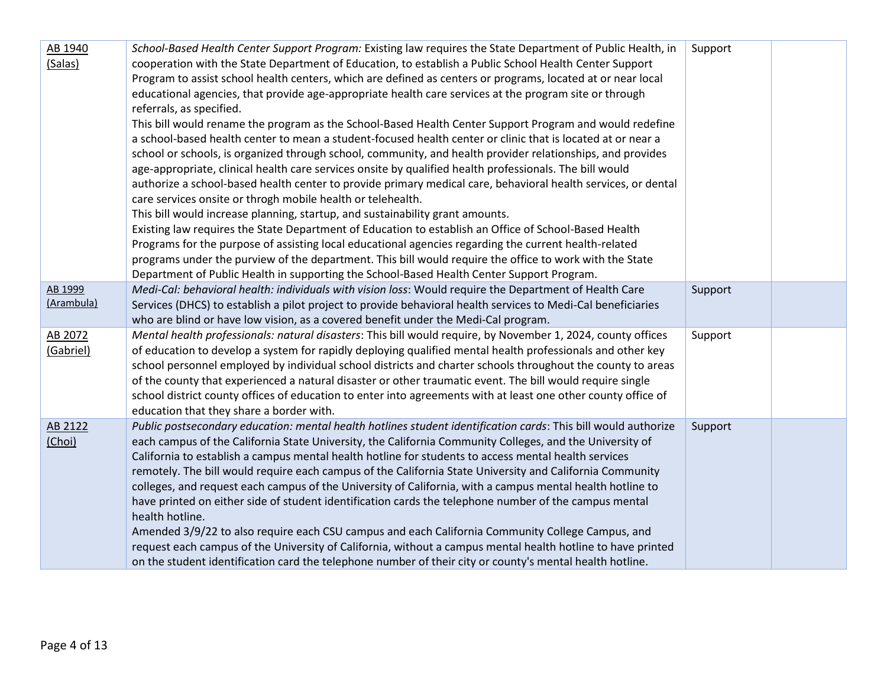| AB 1940    | School-Based Health Center Support Program: Existing law requires the State Department of Public Health, in    | Support |  |
|------------|----------------------------------------------------------------------------------------------------------------|---------|--|
| (Salas)    | cooperation with the State Department of Education, to establish a Public School Health Center Support         |         |  |
|            | Program to assist school health centers, which are defined as centers or programs, located at or near local    |         |  |
|            | educational agencies, that provide age-appropriate health care services at the program site or through         |         |  |
|            | referrals, as specified.                                                                                       |         |  |
|            | This bill would rename the program as the School-Based Health Center Support Program and would redefine        |         |  |
|            | a school-based health center to mean a student-focused health center or clinic that is located at or near a    |         |  |
|            | school or schools, is organized through school, community, and health provider relationships, and provides     |         |  |
|            | age-appropriate, clinical health care services onsite by qualified health professionals. The bill would        |         |  |
|            | authorize a school-based health center to provide primary medical care, behavioral health services, or dental  |         |  |
|            | care services onsite or throgh mobile health or telehealth.                                                    |         |  |
|            | This bill would increase planning, startup, and sustainability grant amounts.                                  |         |  |
|            | Existing law requires the State Department of Education to establish an Office of School-Based Health          |         |  |
|            | Programs for the purpose of assisting local educational agencies regarding the current health-related          |         |  |
|            | programs under the purview of the department. This bill would require the office to work with the State        |         |  |
|            | Department of Public Health in supporting the School-Based Health Center Support Program.                      |         |  |
| AB 1999    | Medi-Cal: behavioral health: individuals with vision loss: Would require the Department of Health Care         | Support |  |
| (Arambula) | Services (DHCS) to establish a pilot project to provide behavioral health services to Medi-Cal beneficiaries   |         |  |
|            | who are blind or have low vision, as a covered benefit under the Medi-Cal program.                             |         |  |
| AB 2072    | Mental health professionals: natural disasters: This bill would require, by November 1, 2024, county offices   | Support |  |
| (Gabriel)  | of education to develop a system for rapidly deploying qualified mental health professionals and other key     |         |  |
|            | school personnel employed by individual school districts and charter schools throughout the county to areas    |         |  |
|            | of the county that experienced a natural disaster or other traumatic event. The bill would require single      |         |  |
|            | school district county offices of education to enter into agreements with at least one other county office of  |         |  |
|            | education that they share a border with.                                                                       |         |  |
| AB 2122    | Public postsecondary education: mental health hotlines student identification cards: This bill would authorize | Support |  |
| (Choi)     | each campus of the California State University, the California Community Colleges, and the University of       |         |  |
|            | California to establish a campus mental health hotline for students to access mental health services           |         |  |
|            | remotely. The bill would require each campus of the California State University and California Community       |         |  |
|            | colleges, and request each campus of the University of California, with a campus mental health hotline to      |         |  |
|            | have printed on either side of student identification cards the telephone number of the campus mental          |         |  |
|            | health hotline.                                                                                                |         |  |
|            | Amended 3/9/22 to also require each CSU campus and each California Community College Campus, and               |         |  |
|            | request each campus of the University of California, without a campus mental health hotline to have printed    |         |  |
|            | on the student identification card the telephone number of their city or county's mental health hotline.       |         |  |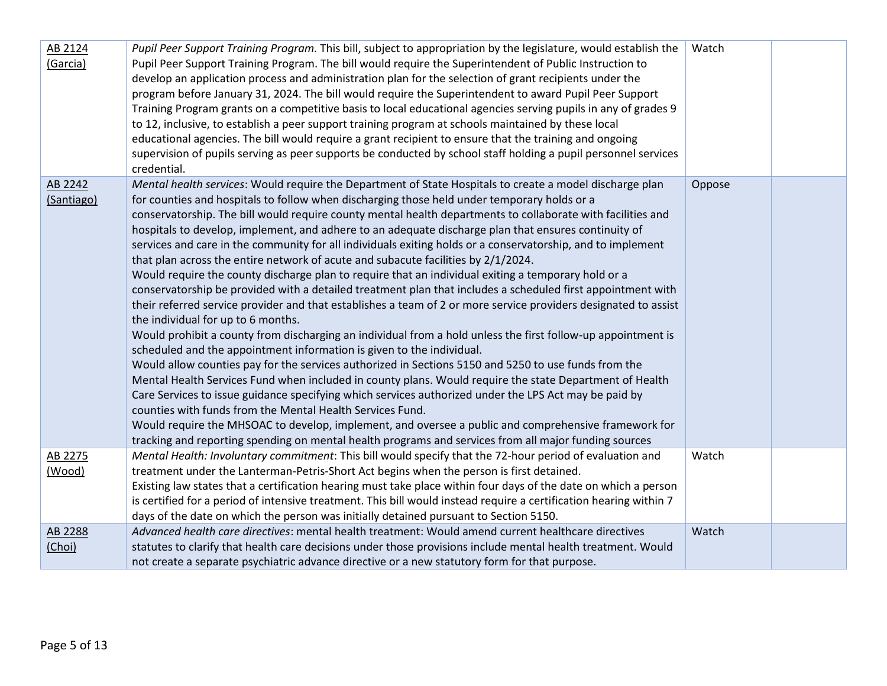| AB 2124<br>(Garcia)   | Pupil Peer Support Training Program. This bill, subject to appropriation by the legislature, would establish the<br>Pupil Peer Support Training Program. The bill would require the Superintendent of Public Instruction to<br>develop an application process and administration plan for the selection of grant recipients under the<br>program before January 31, 2024. The bill would require the Superintendent to award Pupil Peer Support<br>Training Program grants on a competitive basis to local educational agencies serving pupils in any of grades 9<br>to 12, inclusive, to establish a peer support training program at schools maintained by these local<br>educational agencies. The bill would require a grant recipient to ensure that the training and ongoing<br>supervision of pupils serving as peer supports be conducted by school staff holding a pupil personnel services<br>credential.                                                                                                                                                                                                                                                                                                                                                                                                                                                                                                                                                                                                                                                                                                                                                                                                                                                                                                  | Watch  |  |
|-----------------------|----------------------------------------------------------------------------------------------------------------------------------------------------------------------------------------------------------------------------------------------------------------------------------------------------------------------------------------------------------------------------------------------------------------------------------------------------------------------------------------------------------------------------------------------------------------------------------------------------------------------------------------------------------------------------------------------------------------------------------------------------------------------------------------------------------------------------------------------------------------------------------------------------------------------------------------------------------------------------------------------------------------------------------------------------------------------------------------------------------------------------------------------------------------------------------------------------------------------------------------------------------------------------------------------------------------------------------------------------------------------------------------------------------------------------------------------------------------------------------------------------------------------------------------------------------------------------------------------------------------------------------------------------------------------------------------------------------------------------------------------------------------------------------------------------------------------|--------|--|
| AB 2242<br>(Santiago) | Mental health services: Would require the Department of State Hospitals to create a model discharge plan<br>for counties and hospitals to follow when discharging those held under temporary holds or a<br>conservatorship. The bill would require county mental health departments to collaborate with facilities and<br>hospitals to develop, implement, and adhere to an adequate discharge plan that ensures continuity of<br>services and care in the community for all individuals exiting holds or a conservatorship, and to implement<br>that plan across the entire network of acute and subacute facilities by 2/1/2024.<br>Would require the county discharge plan to require that an individual exiting a temporary hold or a<br>conservatorship be provided with a detailed treatment plan that includes a scheduled first appointment with<br>their referred service provider and that establishes a team of 2 or more service providers designated to assist<br>the individual for up to 6 months.<br>Would prohibit a county from discharging an individual from a hold unless the first follow-up appointment is<br>scheduled and the appointment information is given to the individual.<br>Would allow counties pay for the services authorized in Sections 5150 and 5250 to use funds from the<br>Mental Health Services Fund when included in county plans. Would require the state Department of Health<br>Care Services to issue guidance specifying which services authorized under the LPS Act may be paid by<br>counties with funds from the Mental Health Services Fund.<br>Would require the MHSOAC to develop, implement, and oversee a public and comprehensive framework for<br>tracking and reporting spending on mental health programs and services from all major funding sources | Oppose |  |
| AB 2275               | Mental Health: Involuntary commitment: This bill would specify that the 72-hour period of evaluation and                                                                                                                                                                                                                                                                                                                                                                                                                                                                                                                                                                                                                                                                                                                                                                                                                                                                                                                                                                                                                                                                                                                                                                                                                                                                                                                                                                                                                                                                                                                                                                                                                                                                                                             | Watch  |  |
| (Wood)                | treatment under the Lanterman-Petris-Short Act begins when the person is first detained.<br>Existing law states that a certification hearing must take place within four days of the date on which a person                                                                                                                                                                                                                                                                                                                                                                                                                                                                                                                                                                                                                                                                                                                                                                                                                                                                                                                                                                                                                                                                                                                                                                                                                                                                                                                                                                                                                                                                                                                                                                                                          |        |  |
|                       | is certified for a period of intensive treatment. This bill would instead require a certification hearing within 7                                                                                                                                                                                                                                                                                                                                                                                                                                                                                                                                                                                                                                                                                                                                                                                                                                                                                                                                                                                                                                                                                                                                                                                                                                                                                                                                                                                                                                                                                                                                                                                                                                                                                                   |        |  |
|                       | days of the date on which the person was initially detained pursuant to Section 5150.                                                                                                                                                                                                                                                                                                                                                                                                                                                                                                                                                                                                                                                                                                                                                                                                                                                                                                                                                                                                                                                                                                                                                                                                                                                                                                                                                                                                                                                                                                                                                                                                                                                                                                                                |        |  |
| AB 2288               | Advanced health care directives: mental health treatment: Would amend current healthcare directives                                                                                                                                                                                                                                                                                                                                                                                                                                                                                                                                                                                                                                                                                                                                                                                                                                                                                                                                                                                                                                                                                                                                                                                                                                                                                                                                                                                                                                                                                                                                                                                                                                                                                                                  | Watch  |  |
| (Choi)                | statutes to clarify that health care decisions under those provisions include mental health treatment. Would                                                                                                                                                                                                                                                                                                                                                                                                                                                                                                                                                                                                                                                                                                                                                                                                                                                                                                                                                                                                                                                                                                                                                                                                                                                                                                                                                                                                                                                                                                                                                                                                                                                                                                         |        |  |
|                       | not create a separate psychiatric advance directive or a new statutory form for that purpose.                                                                                                                                                                                                                                                                                                                                                                                                                                                                                                                                                                                                                                                                                                                                                                                                                                                                                                                                                                                                                                                                                                                                                                                                                                                                                                                                                                                                                                                                                                                                                                                                                                                                                                                        |        |  |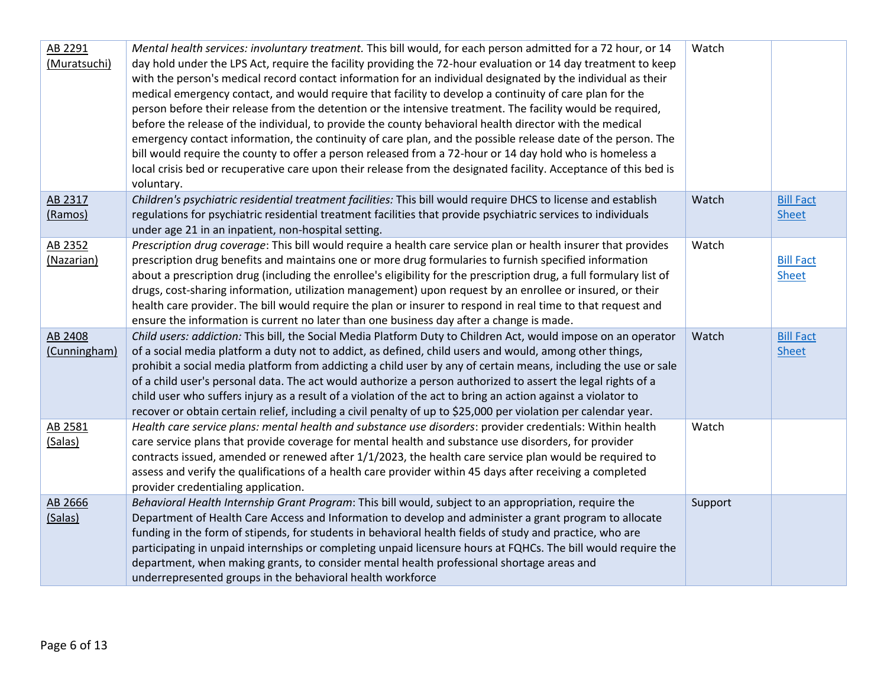| AB 2291<br>(Muratsuchi) | Mental health services: involuntary treatment. This bill would, for each person admitted for a 72 hour, or 14<br>day hold under the LPS Act, require the facility providing the 72-hour evaluation or 14 day treatment to keep<br>with the person's medical record contact information for an individual designated by the individual as their<br>medical emergency contact, and would require that facility to develop a continuity of care plan for the<br>person before their release from the detention or the intensive treatment. The facility would be required,<br>before the release of the individual, to provide the county behavioral health director with the medical<br>emergency contact information, the continuity of care plan, and the possible release date of the person. The<br>bill would require the county to offer a person released from a 72-hour or 14 day hold who is homeless a<br>local crisis bed or recuperative care upon their release from the designated facility. Acceptance of this bed is<br>voluntary. | Watch   |                                  |
|-------------------------|--------------------------------------------------------------------------------------------------------------------------------------------------------------------------------------------------------------------------------------------------------------------------------------------------------------------------------------------------------------------------------------------------------------------------------------------------------------------------------------------------------------------------------------------------------------------------------------------------------------------------------------------------------------------------------------------------------------------------------------------------------------------------------------------------------------------------------------------------------------------------------------------------------------------------------------------------------------------------------------------------------------------------------------------------|---------|----------------------------------|
| AB 2317<br>(Ramos)      | Children's psychiatric residential treatment facilities: This bill would require DHCS to license and establish<br>regulations for psychiatric residential treatment facilities that provide psychiatric services to individuals<br>under age 21 in an inpatient, non-hospital setting.                                                                                                                                                                                                                                                                                                                                                                                                                                                                                                                                                                                                                                                                                                                                                           | Watch   | <b>Bill Fact</b><br><b>Sheet</b> |
| AB 2352<br>(Nazarian)   | Prescription drug coverage: This bill would require a health care service plan or health insurer that provides<br>prescription drug benefits and maintains one or more drug formularies to furnish specified information<br>about a prescription drug (including the enrollee's eligibility for the prescription drug, a full formulary list of<br>drugs, cost-sharing information, utilization management) upon request by an enrollee or insured, or their<br>health care provider. The bill would require the plan or insurer to respond in real time to that request and<br>ensure the information is current no later than one business day after a change is made.                                                                                                                                                                                                                                                                                                                                                                         | Watch   | <b>Bill Fact</b><br><b>Sheet</b> |
| AB 2408<br>(Cunningham) | Child users: addiction: This bill, the Social Media Platform Duty to Children Act, would impose on an operator<br>of a social media platform a duty not to addict, as defined, child users and would, among other things,<br>prohibit a social media platform from addicting a child user by any of certain means, including the use or sale<br>of a child user's personal data. The act would authorize a person authorized to assert the legal rights of a<br>child user who suffers injury as a result of a violation of the act to bring an action against a violator to<br>recover or obtain certain relief, including a civil penalty of up to \$25,000 per violation per calendar year.                                                                                                                                                                                                                                                                                                                                                   | Watch   | <b>Bill Fact</b><br><b>Sheet</b> |
| AB 2581<br>(Salas)      | Health care service plans: mental health and substance use disorders: provider credentials: Within health<br>care service plans that provide coverage for mental health and substance use disorders, for provider<br>contracts issued, amended or renewed after 1/1/2023, the health care service plan would be required to<br>assess and verify the qualifications of a health care provider within 45 days after receiving a completed<br>provider credentialing application.                                                                                                                                                                                                                                                                                                                                                                                                                                                                                                                                                                  | Watch   |                                  |
| AB 2666<br>(Salas)      | Behavioral Health Internship Grant Program: This bill would, subject to an appropriation, require the<br>Department of Health Care Access and Information to develop and administer a grant program to allocate<br>funding in the form of stipends, for students in behavioral health fields of study and practice, who are<br>participating in unpaid internships or completing unpaid licensure hours at FQHCs. The bill would require the<br>department, when making grants, to consider mental health professional shortage areas and<br>underrepresented groups in the behavioral health workforce                                                                                                                                                                                                                                                                                                                                                                                                                                          | Support |                                  |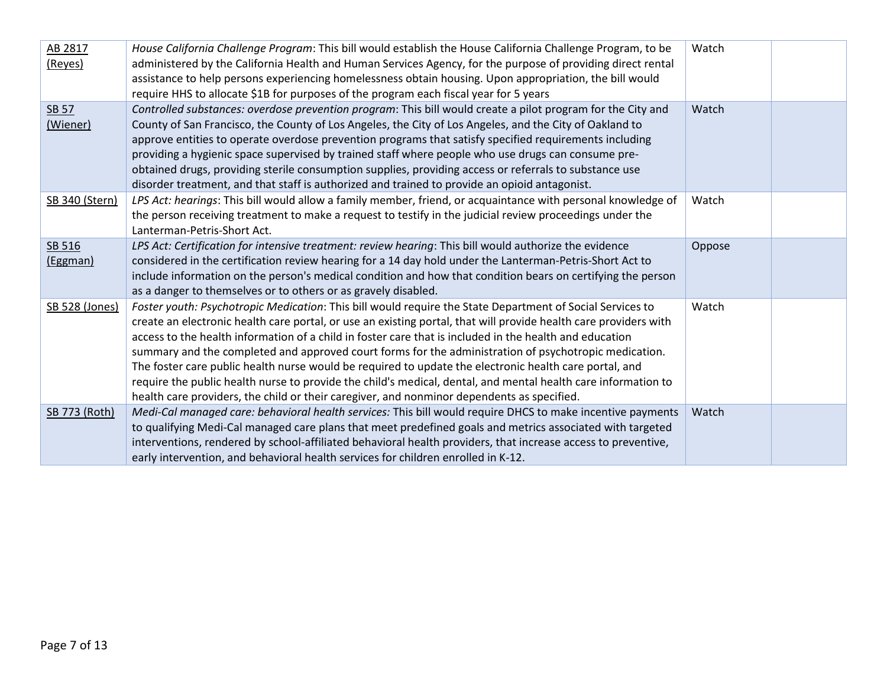| AB 2817<br>(Reyes)       | House California Challenge Program: This bill would establish the House California Challenge Program, to be<br>administered by the California Health and Human Services Agency, for the purpose of providing direct rental<br>assistance to help persons experiencing homelessness obtain housing. Upon appropriation, the bill would<br>require HHS to allocate \$1B for purposes of the program each fiscal year for 5 years                                                                                                                                                                                                                                                                                                                                             | Watch  |  |
|--------------------------|----------------------------------------------------------------------------------------------------------------------------------------------------------------------------------------------------------------------------------------------------------------------------------------------------------------------------------------------------------------------------------------------------------------------------------------------------------------------------------------------------------------------------------------------------------------------------------------------------------------------------------------------------------------------------------------------------------------------------------------------------------------------------|--------|--|
| <b>SB 57</b><br>(Wiener) | Controlled substances: overdose prevention program: This bill would create a pilot program for the City and<br>County of San Francisco, the County of Los Angeles, the City of Los Angeles, and the City of Oakland to<br>approve entities to operate overdose prevention programs that satisfy specified requirements including<br>providing a hygienic space supervised by trained staff where people who use drugs can consume pre-<br>obtained drugs, providing sterile consumption supplies, providing access or referrals to substance use<br>disorder treatment, and that staff is authorized and trained to provide an opioid antagonist.                                                                                                                          | Watch  |  |
| SB 340 (Stern)           | LPS Act: hearings: This bill would allow a family member, friend, or acquaintance with personal knowledge of<br>the person receiving treatment to make a request to testify in the judicial review proceedings under the<br>Lanterman-Petris-Short Act.                                                                                                                                                                                                                                                                                                                                                                                                                                                                                                                    | Watch  |  |
| SB 516<br>(Eggman)       | LPS Act: Certification for intensive treatment: review hearing: This bill would authorize the evidence<br>considered in the certification review hearing for a 14 day hold under the Lanterman-Petris-Short Act to<br>include information on the person's medical condition and how that condition bears on certifying the person<br>as a danger to themselves or to others or as gravely disabled.                                                                                                                                                                                                                                                                                                                                                                        | Oppose |  |
| SB 528 (Jones)           | Foster youth: Psychotropic Medication: This bill would require the State Department of Social Services to<br>create an electronic health care portal, or use an existing portal, that will provide health care providers with<br>access to the health information of a child in foster care that is included in the health and education<br>summary and the completed and approved court forms for the administration of psychotropic medication.<br>The foster care public health nurse would be required to update the electronic health care portal, and<br>require the public health nurse to provide the child's medical, dental, and mental health care information to<br>health care providers, the child or their caregiver, and nonminor dependents as specified. | Watch  |  |
| SB 773 (Roth)            | Medi-Cal managed care: behavioral health services: This bill would require DHCS to make incentive payments<br>to qualifying Medi-Cal managed care plans that meet predefined goals and metrics associated with targeted<br>interventions, rendered by school-affiliated behavioral health providers, that increase access to preventive,<br>early intervention, and behavioral health services for children enrolled in K-12.                                                                                                                                                                                                                                                                                                                                              | Watch  |  |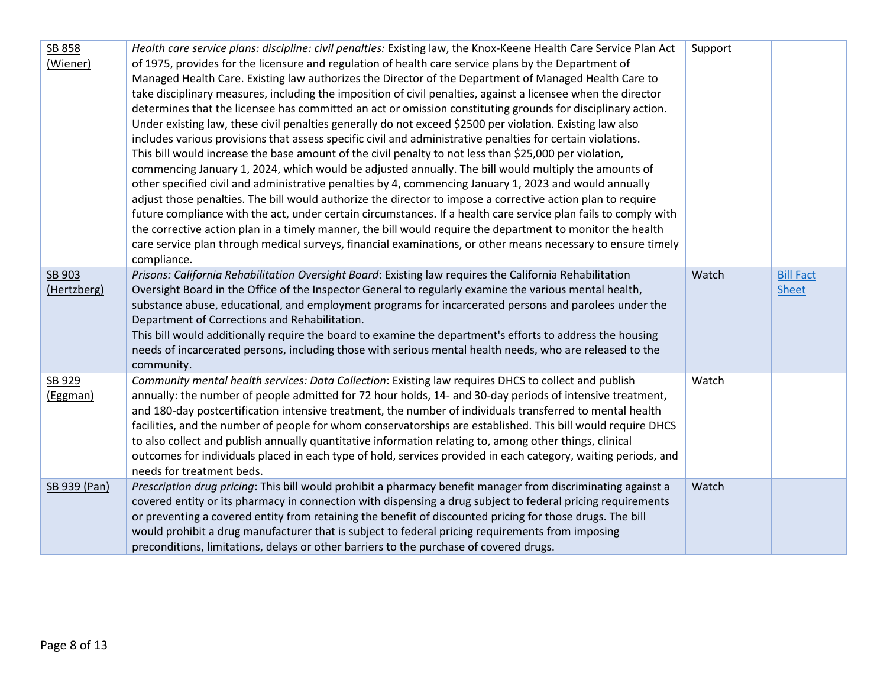| SB 858<br>(Wiener)    | Health care service plans: discipline: civil penalties: Existing law, the Knox-Keene Health Care Service Plan Act<br>of 1975, provides for the licensure and regulation of health care service plans by the Department of<br>Managed Health Care. Existing law authorizes the Director of the Department of Managed Health Care to<br>take disciplinary measures, including the imposition of civil penalties, against a licensee when the director<br>determines that the licensee has committed an act or omission constituting grounds for disciplinary action.<br>Under existing law, these civil penalties generally do not exceed \$2500 per violation. Existing law also<br>includes various provisions that assess specific civil and administrative penalties for certain violations.<br>This bill would increase the base amount of the civil penalty to not less than \$25,000 per violation,<br>commencing January 1, 2024, which would be adjusted annually. The bill would multiply the amounts of<br>other specified civil and administrative penalties by 4, commencing January 1, 2023 and would annually<br>adjust those penalties. The bill would authorize the director to impose a corrective action plan to require<br>future compliance with the act, under certain circumstances. If a health care service plan fails to comply with<br>the corrective action plan in a timely manner, the bill would require the department to monitor the health<br>care service plan through medical surveys, financial examinations, or other means necessary to ensure timely<br>compliance. | Support |                                  |
|-----------------------|-----------------------------------------------------------------------------------------------------------------------------------------------------------------------------------------------------------------------------------------------------------------------------------------------------------------------------------------------------------------------------------------------------------------------------------------------------------------------------------------------------------------------------------------------------------------------------------------------------------------------------------------------------------------------------------------------------------------------------------------------------------------------------------------------------------------------------------------------------------------------------------------------------------------------------------------------------------------------------------------------------------------------------------------------------------------------------------------------------------------------------------------------------------------------------------------------------------------------------------------------------------------------------------------------------------------------------------------------------------------------------------------------------------------------------------------------------------------------------------------------------------------------------------------------------------------------------------------------------------|---------|----------------------------------|
| SB 903<br>(Hertzberg) | Prisons: California Rehabilitation Oversight Board: Existing law requires the California Rehabilitation<br>Oversight Board in the Office of the Inspector General to regularly examine the various mental health,<br>substance abuse, educational, and employment programs for incarcerated persons and parolees under the<br>Department of Corrections and Rehabilitation.<br>This bill would additionally require the board to examine the department's efforts to address the housing<br>needs of incarcerated persons, including those with serious mental health needs, who are released to the<br>community.                                                                                                                                                                                                                                                                                                                                                                                                                                                                                                                                                                                                                                                                                                                                                                                                                                                                                                                                                                                        | Watch   | <b>Bill Fact</b><br><b>Sheet</b> |
| SB 929<br>(Eggman)    | Community mental health services: Data Collection: Existing law requires DHCS to collect and publish<br>annually: the number of people admitted for 72 hour holds, 14- and 30-day periods of intensive treatment,<br>and 180-day postcertification intensive treatment, the number of individuals transferred to mental health<br>facilities, and the number of people for whom conservatorships are established. This bill would require DHCS<br>to also collect and publish annually quantitative information relating to, among other things, clinical<br>outcomes for individuals placed in each type of hold, services provided in each category, waiting periods, and<br>needs for treatment beds.                                                                                                                                                                                                                                                                                                                                                                                                                                                                                                                                                                                                                                                                                                                                                                                                                                                                                                  | Watch   |                                  |
| SB 939 (Pan)          | Prescription drug pricing: This bill would prohibit a pharmacy benefit manager from discriminating against a<br>covered entity or its pharmacy in connection with dispensing a drug subject to federal pricing requirements<br>or preventing a covered entity from retaining the benefit of discounted pricing for those drugs. The bill<br>would prohibit a drug manufacturer that is subject to federal pricing requirements from imposing<br>preconditions, limitations, delays or other barriers to the purchase of covered drugs.                                                                                                                                                                                                                                                                                                                                                                                                                                                                                                                                                                                                                                                                                                                                                                                                                                                                                                                                                                                                                                                                    | Watch   |                                  |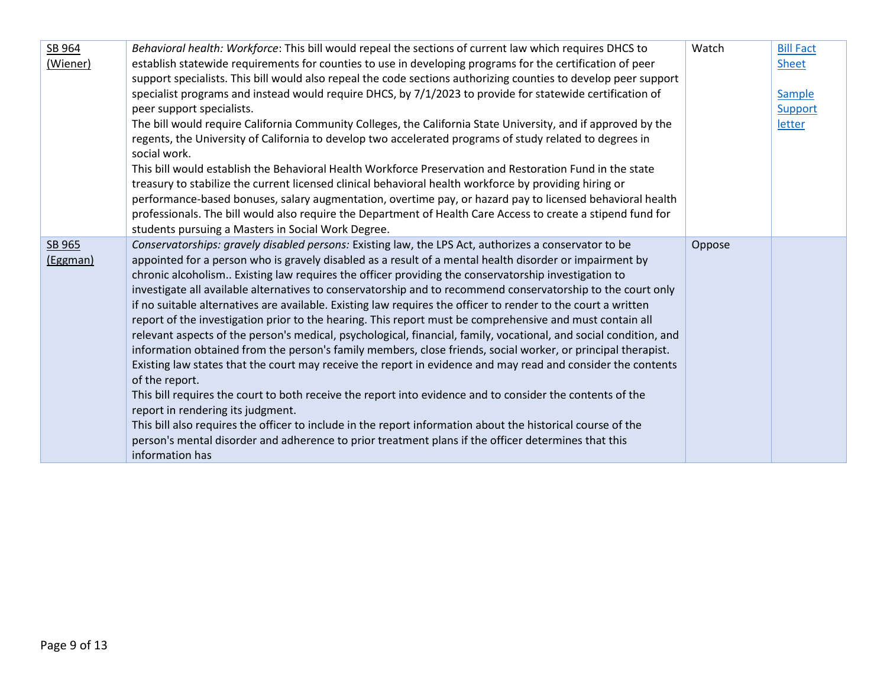| SB 964<br>(Wiener) | Behavioral health: Workforce: This bill would repeal the sections of current law which requires DHCS to<br>establish statewide requirements for counties to use in developing programs for the certification of peer<br>support specialists. This bill would also repeal the code sections authorizing counties to develop peer support<br>specialist programs and instead would require DHCS, by 7/1/2023 to provide for statewide certification of<br>peer support specialists.<br>The bill would require California Community Colleges, the California State University, and if approved by the<br>regents, the University of California to develop two accelerated programs of study related to degrees in<br>social work.<br>This bill would establish the Behavioral Health Workforce Preservation and Restoration Fund in the state<br>treasury to stabilize the current licensed clinical behavioral health workforce by providing hiring or<br>performance-based bonuses, salary augmentation, overtime pay, or hazard pay to licensed behavioral health<br>professionals. The bill would also require the Department of Health Care Access to create a stipend fund for<br>students pursuing a Masters in Social Work Degree.                                                                                                                                                                                                | Watch  | <b>Bill Fact</b><br><b>Sheet</b><br>Sample<br><b>Support</b><br>letter |
|--------------------|----------------------------------------------------------------------------------------------------------------------------------------------------------------------------------------------------------------------------------------------------------------------------------------------------------------------------------------------------------------------------------------------------------------------------------------------------------------------------------------------------------------------------------------------------------------------------------------------------------------------------------------------------------------------------------------------------------------------------------------------------------------------------------------------------------------------------------------------------------------------------------------------------------------------------------------------------------------------------------------------------------------------------------------------------------------------------------------------------------------------------------------------------------------------------------------------------------------------------------------------------------------------------------------------------------------------------------------------------------------------------------------------------------------------------------------|--------|------------------------------------------------------------------------|
| SB 965<br>(Eggman) | Conservatorships: gravely disabled persons: Existing law, the LPS Act, authorizes a conservator to be<br>appointed for a person who is gravely disabled as a result of a mental health disorder or impairment by<br>chronic alcoholism Existing law requires the officer providing the conservatorship investigation to<br>investigate all available alternatives to conservatorship and to recommend conservatorship to the court only<br>if no suitable alternatives are available. Existing law requires the officer to render to the court a written<br>report of the investigation prior to the hearing. This report must be comprehensive and must contain all<br>relevant aspects of the person's medical, psychological, financial, family, vocational, and social condition, and<br>information obtained from the person's family members, close friends, social worker, or principal therapist.<br>Existing law states that the court may receive the report in evidence and may read and consider the contents<br>of the report.<br>This bill requires the court to both receive the report into evidence and to consider the contents of the<br>report in rendering its judgment.<br>This bill also requires the officer to include in the report information about the historical course of the<br>person's mental disorder and adherence to prior treatment plans if the officer determines that this<br>information has | Oppose |                                                                        |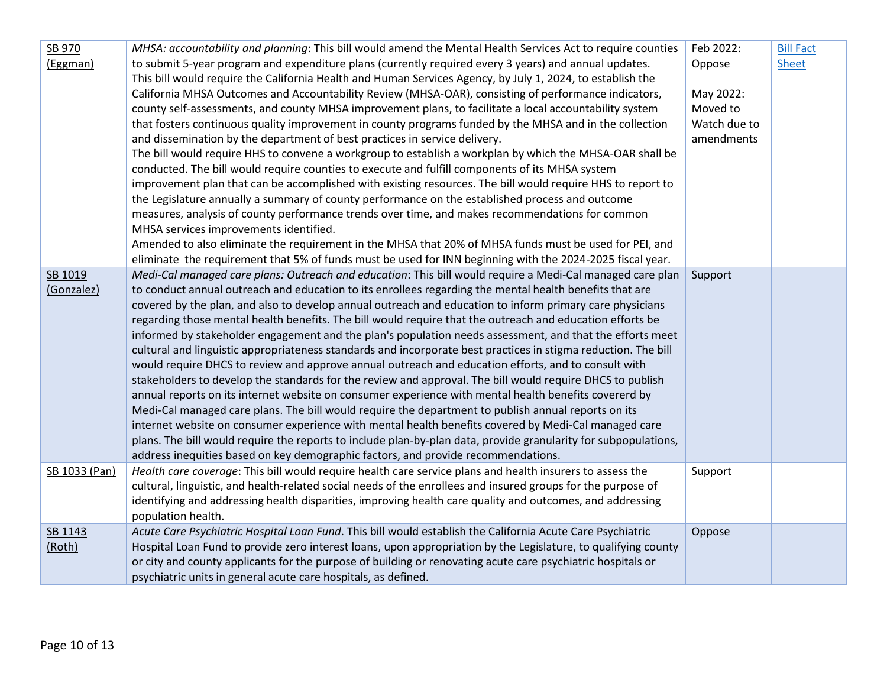| SB 970        | MHSA: accountability and planning: This bill would amend the Mental Health Services Act to require counties     | Feb 2022:    | <b>Bill Fact</b> |
|---------------|-----------------------------------------------------------------------------------------------------------------|--------------|------------------|
| (Eggman)      | to submit 5-year program and expenditure plans (currently required every 3 years) and annual updates.           | Oppose       | <b>Sheet</b>     |
|               | This bill would require the California Health and Human Services Agency, by July 1, 2024, to establish the      |              |                  |
|               | California MHSA Outcomes and Accountability Review (MHSA-OAR), consisting of performance indicators,            | May 2022:    |                  |
|               | county self-assessments, and county MHSA improvement plans, to facilitate a local accountability system         | Moved to     |                  |
|               | that fosters continuous quality improvement in county programs funded by the MHSA and in the collection         | Watch due to |                  |
|               | and dissemination by the department of best practices in service delivery.                                      | amendments   |                  |
|               | The bill would require HHS to convene a workgroup to establish a workplan by which the MHSA-OAR shall be        |              |                  |
|               | conducted. The bill would require counties to execute and fulfill components of its MHSA system                 |              |                  |
|               | improvement plan that can be accomplished with existing resources. The bill would require HHS to report to      |              |                  |
|               | the Legislature annually a summary of county performance on the established process and outcome                 |              |                  |
|               | measures, analysis of county performance trends over time, and makes recommendations for common                 |              |                  |
|               | MHSA services improvements identified.                                                                          |              |                  |
|               | Amended to also eliminate the requirement in the MHSA that 20% of MHSA funds must be used for PEI, and          |              |                  |
|               | eliminate the requirement that 5% of funds must be used for INN beginning with the 2024-2025 fiscal year.       |              |                  |
| SB 1019       | Medi-Cal managed care plans: Outreach and education: This bill would require a Medi-Cal managed care plan       | Support      |                  |
| (Gonzalez)    | to conduct annual outreach and education to its enrollees regarding the mental health benefits that are         |              |                  |
|               | covered by the plan, and also to develop annual outreach and education to inform primary care physicians        |              |                  |
|               | regarding those mental health benefits. The bill would require that the outreach and education efforts be       |              |                  |
|               | informed by stakeholder engagement and the plan's population needs assessment, and that the efforts meet        |              |                  |
|               | cultural and linguistic appropriateness standards and incorporate best practices in stigma reduction. The bill  |              |                  |
|               | would require DHCS to review and approve annual outreach and education efforts, and to consult with             |              |                  |
|               | stakeholders to develop the standards for the review and approval. The bill would require DHCS to publish       |              |                  |
|               | annual reports on its internet website on consumer experience with mental health benefits covererd by           |              |                  |
|               | Medi-Cal managed care plans. The bill would require the department to publish annual reports on its             |              |                  |
|               | internet website on consumer experience with mental health benefits covered by Medi-Cal managed care            |              |                  |
|               | plans. The bill would require the reports to include plan-by-plan data, provide granularity for subpopulations, |              |                  |
|               | address inequities based on key demographic factors, and provide recommendations.                               |              |                  |
| SB 1033 (Pan) | Health care coverage: This bill would require health care service plans and health insurers to assess the       | Support      |                  |
|               | cultural, linguistic, and health-related social needs of the enrollees and insured groups for the purpose of    |              |                  |
|               | identifying and addressing health disparities, improving health care quality and outcomes, and addressing       |              |                  |
|               | population health.                                                                                              |              |                  |
| SB 1143       | Acute Care Psychiatric Hospital Loan Fund. This bill would establish the California Acute Care Psychiatric      | Oppose       |                  |
| (Roth)        | Hospital Loan Fund to provide zero interest loans, upon appropriation by the Legislature, to qualifying county  |              |                  |
|               | or city and county applicants for the purpose of building or renovating acute care psychiatric hospitals or     |              |                  |
|               | psychiatric units in general acute care hospitals, as defined.                                                  |              |                  |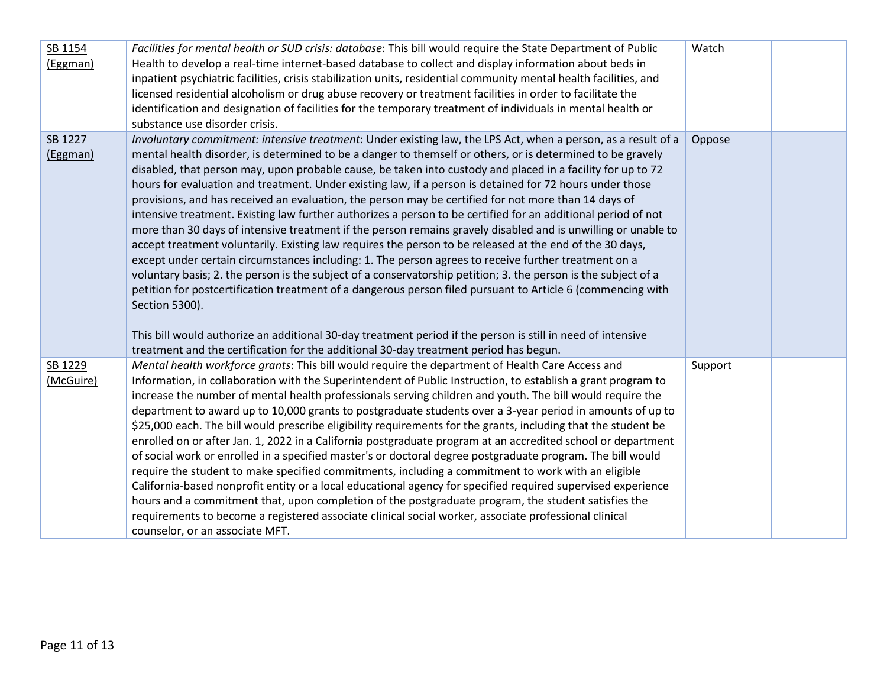| SB 1154<br>(Eggman)  | Facilities for mental health or SUD crisis: database: This bill would require the State Department of Public<br>Health to develop a real-time internet-based database to collect and display information about beds in<br>inpatient psychiatric facilities, crisis stabilization units, residential community mental health facilities, and<br>licensed residential alcoholism or drug abuse recovery or treatment facilities in order to facilitate the<br>identification and designation of facilities for the temporary treatment of individuals in mental health or<br>substance use disorder crisis.                                                                                                                                                                                                                                                                                                                                                                                                                                                                                                                                                                                                                                                                                                                                                                                                                                                                       | Watch   |  |
|----------------------|---------------------------------------------------------------------------------------------------------------------------------------------------------------------------------------------------------------------------------------------------------------------------------------------------------------------------------------------------------------------------------------------------------------------------------------------------------------------------------------------------------------------------------------------------------------------------------------------------------------------------------------------------------------------------------------------------------------------------------------------------------------------------------------------------------------------------------------------------------------------------------------------------------------------------------------------------------------------------------------------------------------------------------------------------------------------------------------------------------------------------------------------------------------------------------------------------------------------------------------------------------------------------------------------------------------------------------------------------------------------------------------------------------------------------------------------------------------------------------|---------|--|
| SB 1227<br>(Eggman)  | Involuntary commitment: intensive treatment: Under existing law, the LPS Act, when a person, as a result of a<br>mental health disorder, is determined to be a danger to themself or others, or is determined to be gravely<br>disabled, that person may, upon probable cause, be taken into custody and placed in a facility for up to 72<br>hours for evaluation and treatment. Under existing law, if a person is detained for 72 hours under those<br>provisions, and has received an evaluation, the person may be certified for not more than 14 days of<br>intensive treatment. Existing law further authorizes a person to be certified for an additional period of not<br>more than 30 days of intensive treatment if the person remains gravely disabled and is unwilling or unable to<br>accept treatment voluntarily. Existing law requires the person to be released at the end of the 30 days,<br>except under certain circumstances including: 1. The person agrees to receive further treatment on a<br>voluntary basis; 2. the person is the subject of a conservatorship petition; 3. the person is the subject of a<br>petition for postcertification treatment of a dangerous person filed pursuant to Article 6 (commencing with<br>Section 5300).<br>This bill would authorize an additional 30-day treatment period if the person is still in need of intensive<br>treatment and the certification for the additional 30-day treatment period has begun. | Oppose  |  |
| SB 1229<br>(McGuire) | Mental health workforce grants: This bill would require the department of Health Care Access and<br>Information, in collaboration with the Superintendent of Public Instruction, to establish a grant program to<br>increase the number of mental health professionals serving children and youth. The bill would require the<br>department to award up to 10,000 grants to postgraduate students over a 3-year period in amounts of up to<br>\$25,000 each. The bill would prescribe eligibility requirements for the grants, including that the student be<br>enrolled on or after Jan. 1, 2022 in a California postgraduate program at an accredited school or department<br>of social work or enrolled in a specified master's or doctoral degree postgraduate program. The bill would<br>require the student to make specified commitments, including a commitment to work with an eligible<br>California-based nonprofit entity or a local educational agency for specified required supervised experience<br>hours and a commitment that, upon completion of the postgraduate program, the student satisfies the<br>requirements to become a registered associate clinical social worker, associate professional clinical<br>counselor, or an associate MFT.                                                                                                                                                                                                             | Support |  |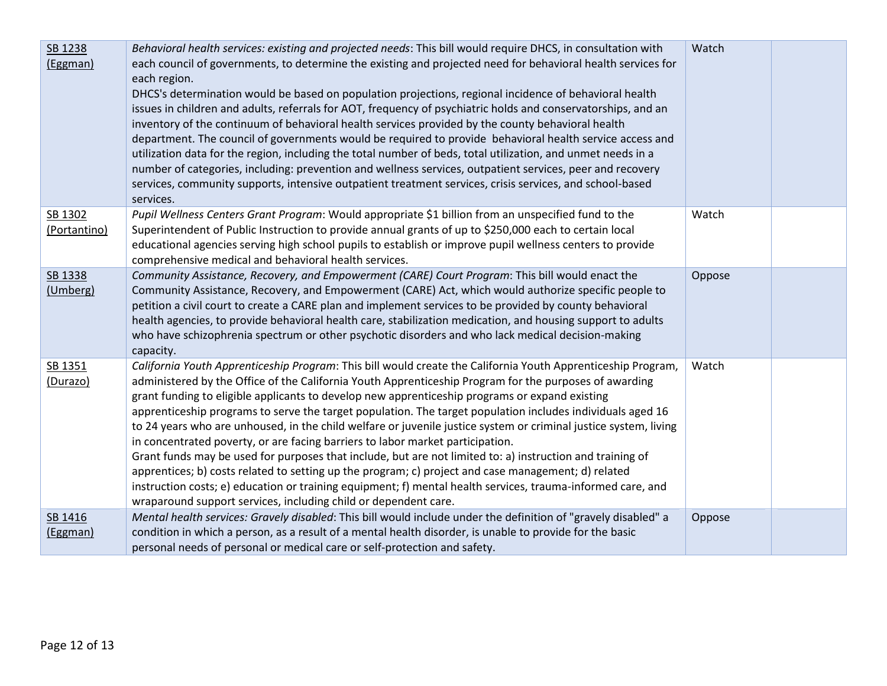| SB 1238<br>(Eggman)     | Behavioral health services: existing and projected needs: This bill would require DHCS, in consultation with<br>each council of governments, to determine the existing and projected need for behavioral health services for<br>each region.<br>DHCS's determination would be based on population projections, regional incidence of behavioral health<br>issues in children and adults, referrals for AOT, frequency of psychiatric holds and conservatorships, and an<br>inventory of the continuum of behavioral health services provided by the county behavioral health<br>department. The council of governments would be required to provide behavioral health service access and<br>utilization data for the region, including the total number of beds, total utilization, and unmet needs in a<br>number of categories, including: prevention and wellness services, outpatient services, peer and recovery<br>services, community supports, intensive outpatient treatment services, crisis services, and school-based<br>services.     | Watch  |  |
|-------------------------|----------------------------------------------------------------------------------------------------------------------------------------------------------------------------------------------------------------------------------------------------------------------------------------------------------------------------------------------------------------------------------------------------------------------------------------------------------------------------------------------------------------------------------------------------------------------------------------------------------------------------------------------------------------------------------------------------------------------------------------------------------------------------------------------------------------------------------------------------------------------------------------------------------------------------------------------------------------------------------------------------------------------------------------------------|--------|--|
| SB 1302<br>(Portantino) | Pupil Wellness Centers Grant Program: Would appropriate \$1 billion from an unspecified fund to the<br>Superintendent of Public Instruction to provide annual grants of up to \$250,000 each to certain local<br>educational agencies serving high school pupils to establish or improve pupil wellness centers to provide<br>comprehensive medical and behavioral health services.                                                                                                                                                                                                                                                                                                                                                                                                                                                                                                                                                                                                                                                                | Watch  |  |
| SB 1338<br>(Umberg)     | Community Assistance, Recovery, and Empowerment (CARE) Court Program: This bill would enact the<br>Community Assistance, Recovery, and Empowerment (CARE) Act, which would authorize specific people to<br>petition a civil court to create a CARE plan and implement services to be provided by county behavioral<br>health agencies, to provide behavioral health care, stabilization medication, and housing support to adults<br>who have schizophrenia spectrum or other psychotic disorders and who lack medical decision-making<br>capacity.                                                                                                                                                                                                                                                                                                                                                                                                                                                                                                | Oppose |  |
| SB 1351<br>(Durazo)     | California Youth Apprenticeship Program: This bill would create the California Youth Apprenticeship Program,<br>administered by the Office of the California Youth Apprenticeship Program for the purposes of awarding<br>grant funding to eligible applicants to develop new apprenticeship programs or expand existing<br>apprenticeship programs to serve the target population. The target population includes individuals aged 16<br>to 24 years who are unhoused, in the child welfare or juvenile justice system or criminal justice system, living<br>in concentrated poverty, or are facing barriers to labor market participation.<br>Grant funds may be used for purposes that include, but are not limited to: a) instruction and training of<br>apprentices; b) costs related to setting up the program; c) project and case management; d) related<br>instruction costs; e) education or training equipment; f) mental health services, trauma-informed care, and<br>wraparound support services, including child or dependent care. | Watch  |  |
| SB 1416<br>(Eggman)     | Mental health services: Gravely disabled: This bill would include under the definition of "gravely disabled" a<br>condition in which a person, as a result of a mental health disorder, is unable to provide for the basic<br>personal needs of personal or medical care or self-protection and safety.                                                                                                                                                                                                                                                                                                                                                                                                                                                                                                                                                                                                                                                                                                                                            | Oppose |  |